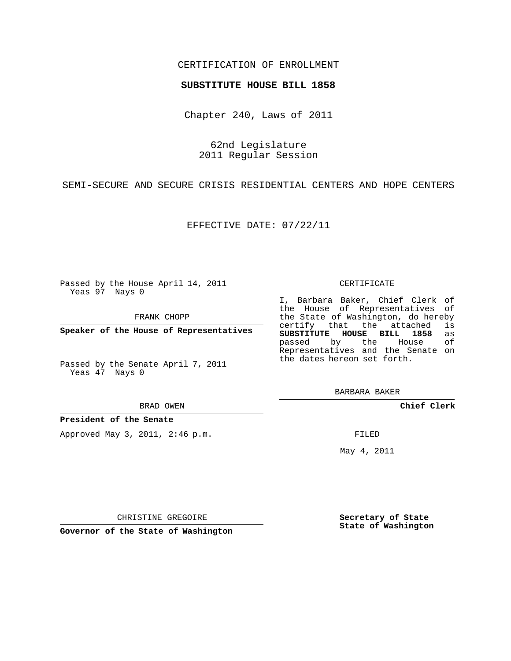## CERTIFICATION OF ENROLLMENT

## **SUBSTITUTE HOUSE BILL 1858**

Chapter 240, Laws of 2011

62nd Legislature 2011 Regular Session

SEMI-SECURE AND SECURE CRISIS RESIDENTIAL CENTERS AND HOPE CENTERS

EFFECTIVE DATE: 07/22/11

Passed by the House April 14, 2011 Yeas 97 Nays 0

FRANK CHOPP

**Speaker of the House of Representatives**

Passed by the Senate April 7, 2011 Yeas 47 Nays 0

BRAD OWEN

**President of the Senate**

Approved May 3, 2011, 2:46 p.m.

### CERTIFICATE

I, Barbara Baker, Chief Clerk of the House of Representatives of the State of Washington, do hereby<br>certify that the attached is **SUBSTITUTE HOUSE BILL 1858** as passed by the House of Representatives and the Senate on the dates hereon set forth.

BARBARA BAKER

**Chief Clerk**

FILED

May 4, 2011

**Secretary of State State of Washington**

CHRISTINE GREGOIRE

**Governor of the State of Washington**

certify that the attached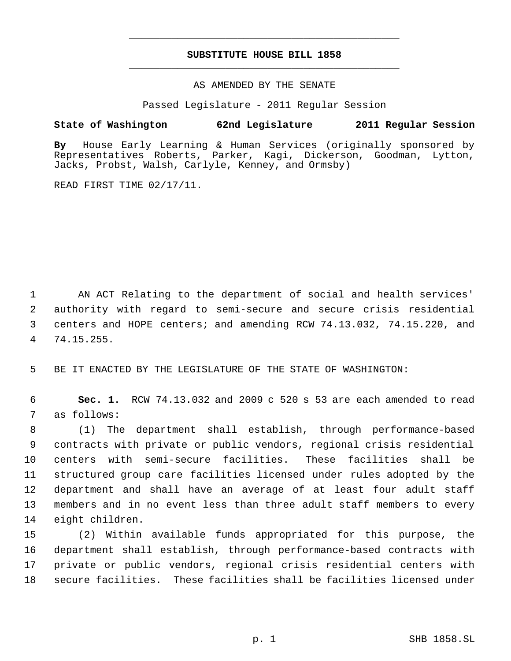# **SUBSTITUTE HOUSE BILL 1858** \_\_\_\_\_\_\_\_\_\_\_\_\_\_\_\_\_\_\_\_\_\_\_\_\_\_\_\_\_\_\_\_\_\_\_\_\_\_\_\_\_\_\_\_\_

\_\_\_\_\_\_\_\_\_\_\_\_\_\_\_\_\_\_\_\_\_\_\_\_\_\_\_\_\_\_\_\_\_\_\_\_\_\_\_\_\_\_\_\_\_

## AS AMENDED BY THE SENATE

Passed Legislature - 2011 Regular Session

# **State of Washington 62nd Legislature 2011 Regular Session**

**By** House Early Learning & Human Services (originally sponsored by Representatives Roberts, Parker, Kagi, Dickerson, Goodman, Lytton, Jacks, Probst, Walsh, Carlyle, Kenney, and Ormsby)

READ FIRST TIME 02/17/11.

 AN ACT Relating to the department of social and health services' authority with regard to semi-secure and secure crisis residential centers and HOPE centers; and amending RCW 74.13.032, 74.15.220, and 74.15.255.

BE IT ENACTED BY THE LEGISLATURE OF THE STATE OF WASHINGTON:

 **Sec. 1.** RCW 74.13.032 and 2009 c 520 s 53 are each amended to read as follows:

 (1) The department shall establish, through performance-based contracts with private or public vendors, regional crisis residential centers with semi-secure facilities. These facilities shall be structured group care facilities licensed under rules adopted by the department and shall have an average of at least four adult staff members and in no event less than three adult staff members to every eight children.

 (2) Within available funds appropriated for this purpose, the department shall establish, through performance-based contracts with private or public vendors, regional crisis residential centers with secure facilities. These facilities shall be facilities licensed under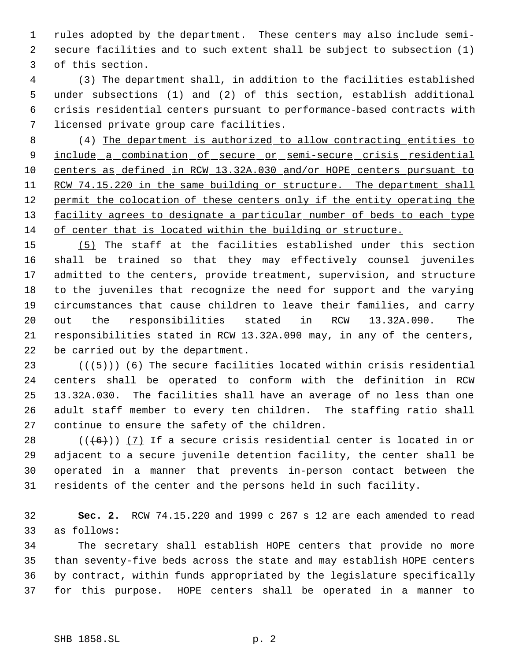rules adopted by the department. These centers may also include semi- secure facilities and to such extent shall be subject to subsection (1) of this section.

 (3) The department shall, in addition to the facilities established under subsections (1) and (2) of this section, establish additional crisis residential centers pursuant to performance-based contracts with licensed private group care facilities.

 (4) The department is authorized to allow contracting entities to 9 include a combination of secure or semi-secure crisis residential centers as defined in RCW 13.32A.030 and/or HOPE centers pursuant to 11 RCW 74.15.220 in the same building or structure. The department shall 12 permit the colocation of these centers only if the entity operating the 13 facility agrees to designate a particular number of beds to each type of center that is located within the building or structure.

 (5) The staff at the facilities established under this section shall be trained so that they may effectively counsel juveniles admitted to the centers, provide treatment, supervision, and structure to the juveniles that recognize the need for support and the varying circumstances that cause children to leave their families, and carry out the responsibilities stated in RCW 13.32A.090. The responsibilities stated in RCW 13.32A.090 may, in any of the centers, be carried out by the department.

23 ( $(\overline{(-5)})$ ) (6) The secure facilities located within crisis residential centers shall be operated to conform with the definition in RCW 13.32A.030. The facilities shall have an average of no less than one adult staff member to every ten children. The staffing ratio shall continue to ensure the safety of the children.

 $((+6))$  (7) If a secure crisis residential center is located in or adjacent to a secure juvenile detention facility, the center shall be operated in a manner that prevents in-person contact between the residents of the center and the persons held in such facility.

 **Sec. 2.** RCW 74.15.220 and 1999 c 267 s 12 are each amended to read as follows:

 The secretary shall establish HOPE centers that provide no more than seventy-five beds across the state and may establish HOPE centers by contract, within funds appropriated by the legislature specifically for this purpose. HOPE centers shall be operated in a manner to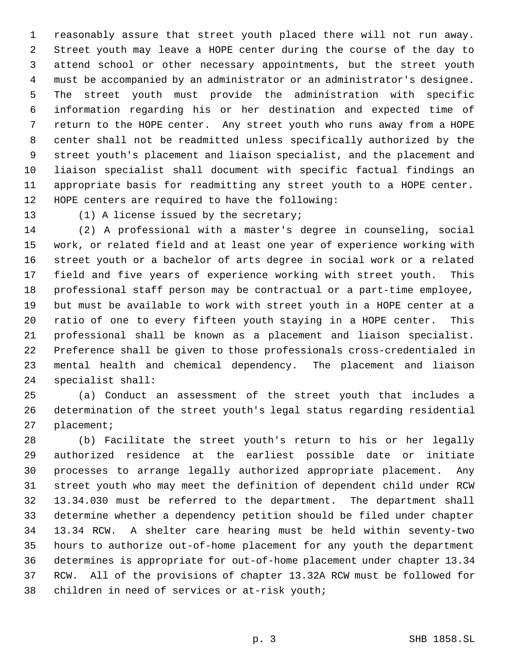reasonably assure that street youth placed there will not run away. Street youth may leave a HOPE center during the course of the day to attend school or other necessary appointments, but the street youth must be accompanied by an administrator or an administrator's designee. The street youth must provide the administration with specific information regarding his or her destination and expected time of return to the HOPE center. Any street youth who runs away from a HOPE center shall not be readmitted unless specifically authorized by the street youth's placement and liaison specialist, and the placement and liaison specialist shall document with specific factual findings an appropriate basis for readmitting any street youth to a HOPE center. HOPE centers are required to have the following:

(1) A license issued by the secretary;

 (2) A professional with a master's degree in counseling, social work, or related field and at least one year of experience working with street youth or a bachelor of arts degree in social work or a related field and five years of experience working with street youth. This professional staff person may be contractual or a part-time employee, but must be available to work with street youth in a HOPE center at a ratio of one to every fifteen youth staying in a HOPE center. This professional shall be known as a placement and liaison specialist. Preference shall be given to those professionals cross-credentialed in mental health and chemical dependency. The placement and liaison specialist shall:

 (a) Conduct an assessment of the street youth that includes a determination of the street youth's legal status regarding residential placement;

 (b) Facilitate the street youth's return to his or her legally authorized residence at the earliest possible date or initiate processes to arrange legally authorized appropriate placement. Any street youth who may meet the definition of dependent child under RCW 13.34.030 must be referred to the department. The department shall determine whether a dependency petition should be filed under chapter 13.34 RCW. A shelter care hearing must be held within seventy-two hours to authorize out-of-home placement for any youth the department determines is appropriate for out-of-home placement under chapter 13.34 RCW. All of the provisions of chapter 13.32A RCW must be followed for children in need of services or at-risk youth;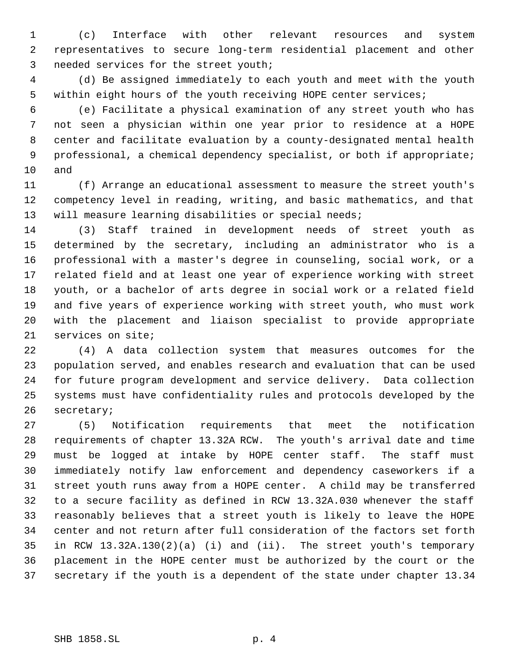(c) Interface with other relevant resources and system representatives to secure long-term residential placement and other needed services for the street youth;

 (d) Be assigned immediately to each youth and meet with the youth within eight hours of the youth receiving HOPE center services;

 (e) Facilitate a physical examination of any street youth who has not seen a physician within one year prior to residence at a HOPE center and facilitate evaluation by a county-designated mental health professional, a chemical dependency specialist, or both if appropriate; and

 (f) Arrange an educational assessment to measure the street youth's competency level in reading, writing, and basic mathematics, and that 13 will measure learning disabilities or special needs;

 (3) Staff trained in development needs of street youth as determined by the secretary, including an administrator who is a professional with a master's degree in counseling, social work, or a related field and at least one year of experience working with street youth, or a bachelor of arts degree in social work or a related field and five years of experience working with street youth, who must work with the placement and liaison specialist to provide appropriate services on site;

 (4) A data collection system that measures outcomes for the population served, and enables research and evaluation that can be used for future program development and service delivery. Data collection systems must have confidentiality rules and protocols developed by the secretary;

 (5) Notification requirements that meet the notification requirements of chapter 13.32A RCW. The youth's arrival date and time must be logged at intake by HOPE center staff. The staff must immediately notify law enforcement and dependency caseworkers if a street youth runs away from a HOPE center. A child may be transferred to a secure facility as defined in RCW 13.32A.030 whenever the staff reasonably believes that a street youth is likely to leave the HOPE center and not return after full consideration of the factors set forth in RCW 13.32A.130(2)(a) (i) and (ii). The street youth's temporary placement in the HOPE center must be authorized by the court or the secretary if the youth is a dependent of the state under chapter 13.34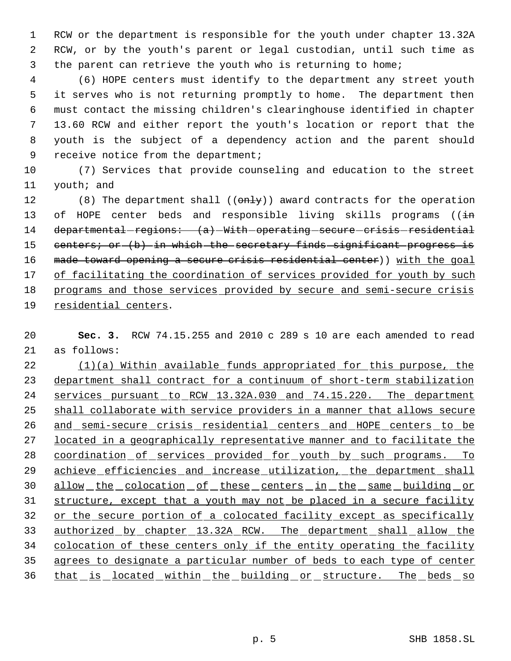RCW or the department is responsible for the youth under chapter 13.32A RCW, or by the youth's parent or legal custodian, until such time as the parent can retrieve the youth who is returning to home;

 (6) HOPE centers must identify to the department any street youth it serves who is not returning promptly to home. The department then must contact the missing children's clearinghouse identified in chapter 13.60 RCW and either report the youth's location or report that the youth is the subject of a dependency action and the parent should 9 receive notice from the department;

 (7) Services that provide counseling and education to the street youth; and

12 (8) The department shall (( $\theta$ nly)) award contracts for the operation 13 of HOPE center beds and responsible living skills programs ( $(i+n)$  departmental-regions:  $(a)$ -With-operating-secure-crisis-residential 15 centers; or (b) in which the secretary finds significant progress is 16 made toward opening a secure crisis residential center)) with the goal 17 of facilitating the coordination of services provided for youth by such programs and those services provided by secure and semi-secure crisis residential centers.

 **Sec. 3.** RCW 74.15.255 and 2010 c 289 s 10 are each amended to read as follows:

 (1)(a) Within available funds appropriated for this purpose, the department shall contract for a continuum of short-term stabilization services pursuant to RCW 13.32A.030 and 74.15.220. The department shall collaborate with service providers in a manner that allows secure 26 and semi-secure crisis residential centers and HOPE centers to be 27 located in a geographically representative manner and to facilitate the coordination of services provided for youth by such programs. To 29 achieve efficiencies and increase utilization, the department shall 30 allow the colocation of these centers in the same building or structure, except that a youth may not be placed in a secure facility 32 or the secure portion of a colocated facility except as specifically authorized by chapter 13.32A RCW. The department shall allow the 34 colocation of these centers only if the entity operating the facility agrees to designate a particular number of beds to each type of center 36 that is located within the building or structure. The beds so